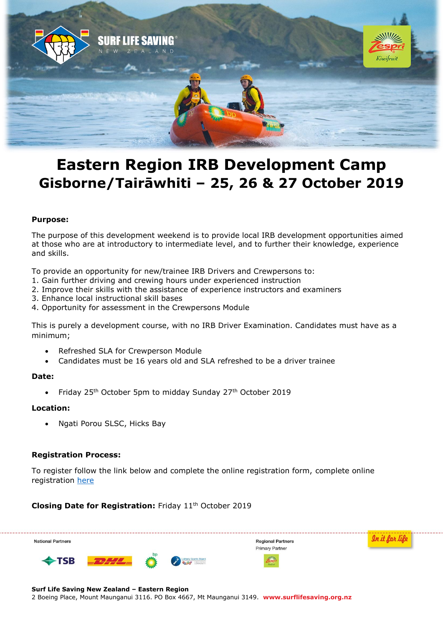

# **Eastern Region IRB Development Camp Gisborne/Tairāwhiti – 25, 26 & 27 October 2019**

## **Purpose:**

The purpose of this development weekend is to provide local IRB development opportunities aimed at those who are at introductory to intermediate level, and to further their knowledge, experience and skills.

To provide an opportunity for new/trainee IRB Drivers and Crewpersons to:

- 1. Gain further driving and crewing hours under experienced instruction
- 2. Improve their skills with the assistance of experience instructors and examiners
- 3. Enhance local instructional skill bases
- 4. Opportunity for assessment in the Crewpersons Module

This is purely a development course, with no IRB Driver Examination. Candidates must have as a minimum;

- Refreshed SLA for Crewperson Module
- Candidates must be 16 years old and SLA refreshed to be a driver trainee

## **Date:**

• Friday 25<sup>th</sup> October 5pm to midday Sunday 27<sup>th</sup> October 2019

## **Location:**

Ngati Porou SLSC, Hicks Bay

## **Registration Process:**

To register follow the link below and complete the online registration form, complete online registration [here](https://forms.gle/YJ6uPzMjAK66MGEV8)

**Closing Date for Registration: Friday 11<sup>th</sup> October 2019** 



#### **Surf Life Saving New Zealand – Eastern Region**

2 Boeing Place, Mount Maunganui 3116. PO Box 4667, Mt Maunganui 3149. **www.surflifesaving.org.nz**